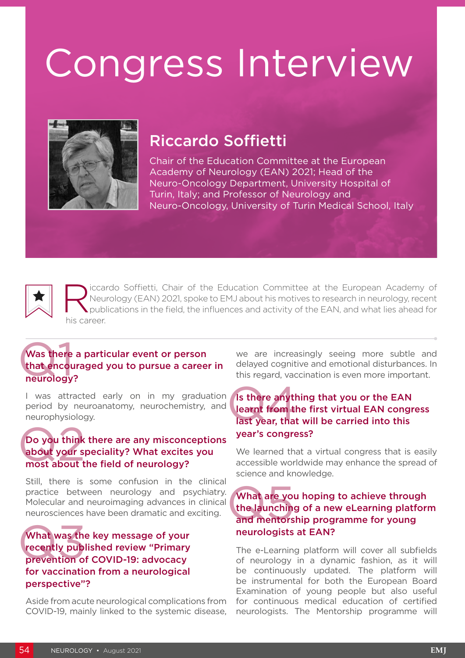# Congress Interview



## Riccardo Soffietti

Chair of the Education Committee at the European Academy of Neurology (EAN) 2021; Head of the Neuro-Oncology Department, University Hospital of Turin, Italy; and Professor of Neurology and Neuro-Oncology, University of Turin Medical School, Italy



iccardo Soffietti, Chair of the Education Committee at the European Academy of Neurology (EAN) 2021, spoke to EMJ about his motives to research in neurology, recent publications in the field, the influences and activity of the EAN, and what lies ahead for his career.

#### Was there<br>that encouneurology Was there a particular event or person that encouraged you to pursue a career in neurology?

I was attracted early on in my graduation period by neuroanatomy, neurochemistry, and neurophysiology.

#### Do you think<br>about your s<br>most about t Do you think there are any misconceptions about your speciality? What excites you most about the field of neurology?

Still, there is some confusion in the clinical practice between neurology and psychiatry. Molecular and neuroimaging advances in clinical neurosciences have been dramatic and exciting.

#### What was the<br>recently puble<br>prevention of What was the key message of your recently published review "Primary prevention of COVID-19: advocacy for vaccination from a neurological perspective"?

Aside from acute neurological complications from COVID-19, mainly linked to the systemic disease,

we are increasingly seeing more subtle and delayed cognitive and emotional disturbances. In this regard, vaccination is even more important.

#### Is there anything that you or the EAN learnt from the first virtual EAN congress last year, that will be carried into this year's congress? Is there anyther<br>learnt from the<br>last year, that

We learned that a virtual congress that is easily accessible worldwide may enhance the spread of science and knowledge.

#### What are you hoping to achieve through the launching of a new eLearning platform and mentorship programme for young neurologists at EAN? What are you<br>the launching<br>and mentors

The e-Learning platform will cover all subfields of neurology in a dynamic fashion, as it will be continuously updated. The platform will be instrumental for both the European Board Examination of young people but also useful for continuous medical education of certified neurologists. The Mentorship programme will